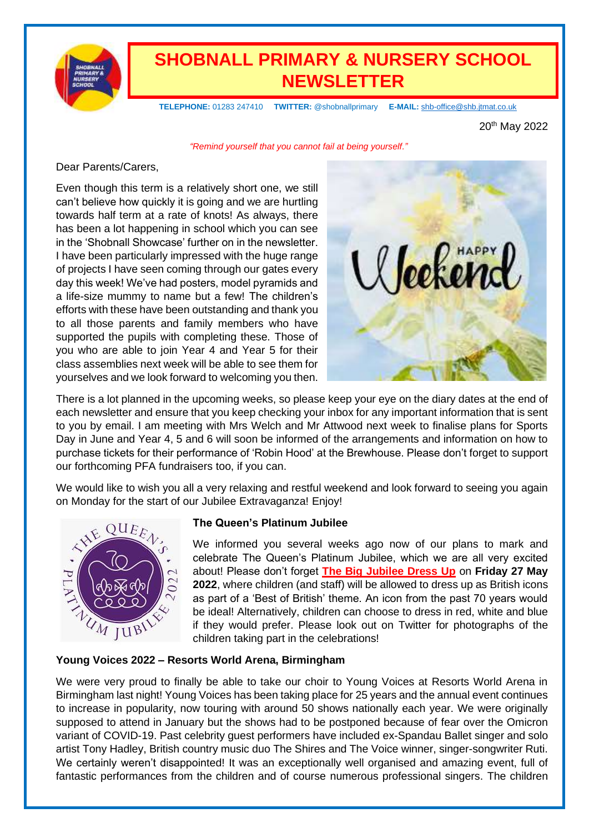

# **SHOBNALL PRIMARY & NURSERY SCHOOL NEWSLETTER**

 **TELEPHONE:** 01283 247410 **TWITTER:** @shobnallprimary **E-MAIL:** [shb-office@shb.jtmat.co.uk](mailto:shb-office@shb.jtmat.co.uk)

20th May 2022

*"Remind yourself that you cannot fail at being yourself."*

#### Dear Parents/Carers,

Even though this term is a relatively short one, we still can't believe how quickly it is going and we are hurtling towards half term at a rate of knots! As always, there has been a lot happening in school which you can see in the 'Shobnall Showcase' further on in the newsletter. I have been particularly impressed with the huge range of projects I have seen coming through our gates every day this week! We've had posters, model pyramids and a life-size mummy to name but a few! The children's efforts with these have been outstanding and thank you to all those parents and family members who have supported the pupils with completing these. Those of you who are able to join Year 4 and Year 5 for their class assemblies next week will be able to see them for yourselves and we look forward to welcoming you then.



There is a lot planned in the upcoming weeks, so please keep your eye on the diary dates at the end of each newsletter and ensure that you keep checking your inbox for any important information that is sent to you by email. I am meeting with Mrs Welch and Mr Attwood next week to finalise plans for Sports Day in June and Year 4, 5 and 6 will soon be informed of the arrangements and information on how to purchase tickets for their performance of 'Robin Hood' at the Brewhouse. Please don't forget to support our forthcoming PFA fundraisers too, if you can.

We would like to wish you all a very relaxing and restful weekend and look forward to seeing you again on Monday for the start of our Jubilee Extravaganza! Enjoy!



#### **The Queen's Platinum Jubilee**

We informed you several weeks ago now of our plans to mark and celebrate The Queen's Platinum Jubilee, which we are all very excited about! Please don't forget **The Big Jubilee Dress Up** on **Friday 27 May 2022**, where children (and staff) will be allowed to dress up as British icons as part of a 'Best of British' theme. An icon from the past 70 years would be ideal! Alternatively, children can choose to dress in red, white and blue if they would prefer. Please look out on Twitter for photographs of the children taking part in the celebrations!

#### **Young Voices 2022 – Resorts World Arena, Birmingham**

We were very proud to finally be able to take our choir to Young Voices at Resorts World Arena in Birmingham last night! Young Voices has been taking place for 25 years and the annual event continues to increase in popularity, now touring with around 50 shows nationally each year. We were originally supposed to attend in January but the shows had to be postponed because of fear over the Omicron variant of COVID-19. Past celebrity guest performers have included ex-Spandau Ballet singer and solo artist Tony Hadley, British country music duo The Shires and The Voice winner, singer-songwriter Ruti. We certainly weren't disappointed! It was an exceptionally well organised and amazing event, full of fantastic performances from the children and of course numerous professional singers. The children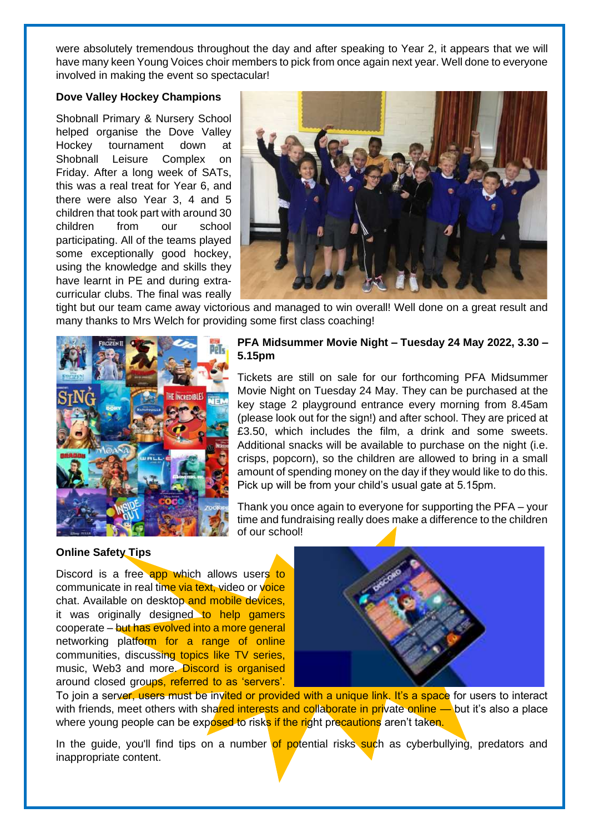were absolutely tremendous throughout the day and after speaking to Year 2, it appears that we will have many keen Young Voices choir members to pick from once again next year. Well done to everyone involved in making the event so spectacular!

#### **Dove Valley Hockey Champions**

Shobnall Primary & Nursery School helped organise the Dove Valley Hockey tournament down at Shobnall Leisure Complex on Friday. After a long week of SATs, this was a real treat for Year 6, and there were also Year 3, 4 and 5 children that took part with around 30 children from our school participating. All of the teams played some exceptionally good hockey, using the knowledge and skills they have learnt in PE and during extracurricular clubs. The final was really



tight but our team came away victorious and managed to win overall! Well done on a great result and many thanks to Mrs Welch for providing some first class coaching!



#### **PFA Midsummer Movie Night – Tuesday 24 May 2022, 3.30 – 5.15pm**

Tickets are still on sale for our forthcoming PFA Midsummer Movie Night on Tuesday 24 May. They can be purchased at the key stage 2 playground entrance every morning from 8.45am (please look out for the sign!) and after school. They are priced at £3.50, which includes the film, a drink and some sweets. Additional snacks will be available to purchase on the night (i.e. crisps, popcorn), so the children are allowed to bring in a small amount of spending money on the day if they would like to do this. Pick up will be from your child's usual gate at 5.15pm.

Thank you once again to everyone for supporting the PFA – your time and fundraising really does make a difference to the children of our school!

#### **Online Safety Tips**

Discord is a free app which allows users to communicate in real time via text, video or voice chat. Available on desktop and mobile devices, it was originally designed to help gamers cooperate – but has evolved into a more general networking platform for a range of online communities, discussing topics like TV series, music, Web3 and more. Discord is organised around closed groups, referred to as 'servers'.



To join a server, users must be invited or provided with a unique link. It's a space for users to interact with friends, meet others with shared interests and collaborate in private online — but it's also a place where young people can be exposed to risks if the right precautions aren't taken.

In the guide, you'll find tips on a number of potential risks such as cyberbullying, predators and inappropriate content.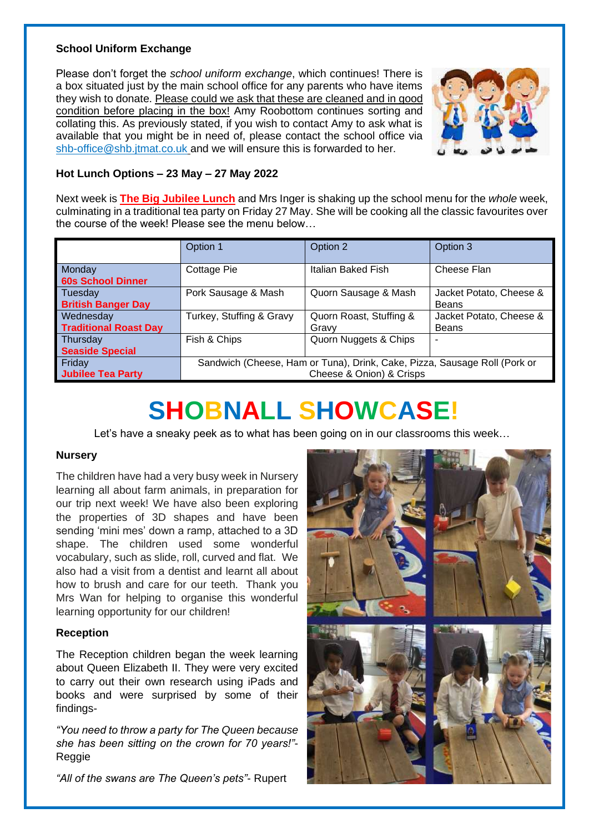#### **School Uniform Exchange**

Please don't forget the *school uniform exchange*, which continues! There is a box situated just by the main school office for any parents who have items they wish to donate. Please could we ask that these are cleaned and in good condition before placing in the box! Amy Roobottom continues sorting and collating this. As previously stated, if you wish to contact Amy to ask what is available that you might be in need of, please contact the school office via [shb-office@shb.jtmat.co.uk](mailto:shb-office@shb.jtmat.co.uk) and we will ensure this is forwarded to her.



#### **Hot Lunch Options – 23 May – 27 May 2022**

Next week is **The Big Jubilee Lunch** and Mrs Inger is shaking up the school menu for the *whole* week, culminating in a traditional tea party on Friday 27 May. She will be cooking all the classic favourites over the course of the week! Please see the menu below…

|                                           | Option 1                                                                                              | Option 2                         | Option 3                                |
|-------------------------------------------|-------------------------------------------------------------------------------------------------------|----------------------------------|-----------------------------------------|
| Monday<br><b>60s School Dinner</b>        | Cottage Pie                                                                                           | Italian Baked Fish               | Cheese Flan                             |
| Tuesday<br><b>British Banger Day</b>      | Pork Sausage & Mash                                                                                   | Quorn Sausage & Mash             | Jacket Potato, Cheese &<br>Beans        |
| Wednesday<br><b>Traditional Roast Day</b> | Turkey, Stuffing & Gravy                                                                              | Quorn Roast, Stuffing &<br>Gravy | Jacket Potato, Cheese &<br><b>Beans</b> |
| Thursday<br><b>Seaside Special</b>        | Fish & Chips                                                                                          | Quorn Nuggets & Chips            |                                         |
| Friday<br><b>Jubilee Tea Party</b>        | Sandwich (Cheese, Ham or Tuna), Drink, Cake, Pizza, Sausage Roll (Pork or<br>Cheese & Onion) & Crisps |                                  |                                         |

# **SHOBNALL SHOWCASE!**

Let's have a sneaky peek as to what has been going on in our classrooms this week…

#### **Nursery**

The children have had a very busy week in Nursery learning all about farm animals, in preparation for our trip next week! We have also been exploring the properties of 3D shapes and have been sending 'mini mes' down a ramp, attached to a 3D shape. The children used some wonderful vocabulary, such as slide, roll, curved and flat. We also had a visit from a dentist and learnt all about how to brush and care for our teeth. Thank you Mrs Wan for helping to organise this wonderful learning opportunity for our children!

#### **Reception**

The Reception children began the week learning about Queen Elizabeth II. They were very excited to carry out their own research using iPads and books and were surprised by some of their findings-

*"You need to throw a party for The Queen because she has been sitting on the crown for 70 years!"*- Reggie

*"All of the swans are The Queen's pets"*- Rupert

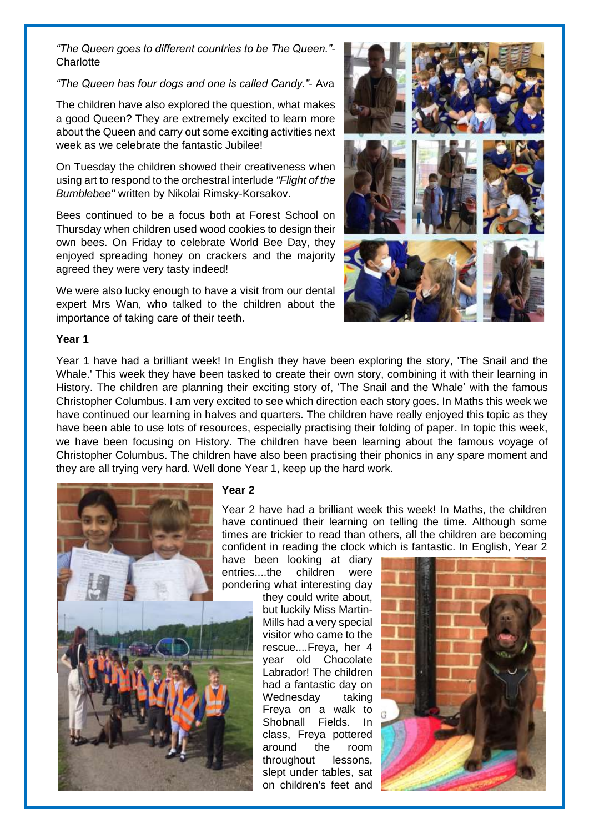*"The Queen goes to different countries to be The Queen."*- **Charlotte** 

#### *"The Queen has four dogs and one is called Candy."*- Ava

The children have also explored the question, what makes a good Queen? They are extremely excited to learn more about the Queen and carry out some exciting activities next week as we celebrate the fantastic Jubilee!

On Tuesday the children showed their creativeness when using art to respond to the orchestral interlude *"Flight of the Bumblebee"* written by Nikolai Rimsky-Korsakov.

Bees continued to be a focus both at Forest School on Thursday when children used wood cookies to design their own bees. On Friday to celebrate World Bee Day, they enjoyed spreading honey on crackers and the majority agreed they were very tasty indeed!

We were also lucky enough to have a visit from our dental expert Mrs Wan, who talked to the children about the importance of taking care of their teeth.



#### **Year 1**

Year 1 have had a brilliant week! In English they have been exploring the story, 'The Snail and the Whale.' This week they have been tasked to create their own story, combining it with their learning in History. The children are planning their exciting story of, 'The Snail and the Whale' with the famous Christopher Columbus. I am very excited to see which direction each story goes. In Maths this week we have continued our learning in halves and quarters. The children have really enjoyed this topic as they have been able to use lots of resources, especially practising their folding of paper. In topic this week, we have been focusing on History. The children have been learning about the famous voyage of Christopher Columbus. The children have also been practising their phonics in any spare moment and they are all trying very hard. Well done Year 1, keep up the hard work.



#### **Year 2**

Year 2 have had a brilliant week this week! In Maths, the children have continued their learning on telling the time. Although some times are trickier to read than others, all the children are becoming confident in reading the clock which is fantastic. In English, Year 2

have been looking at diary entries....the children were pondering what interesting day

they could write about, but luckily Miss Martin-Mills had a very special visitor who came to the rescue....Freya, her 4 year old Chocolate Labrador! The children had a fantastic day on Wednesday taking Freya on a walk to Shobnall Fields. In class, Freya pottered around the room throughout lessons, slept under tables, sat on children's feet and

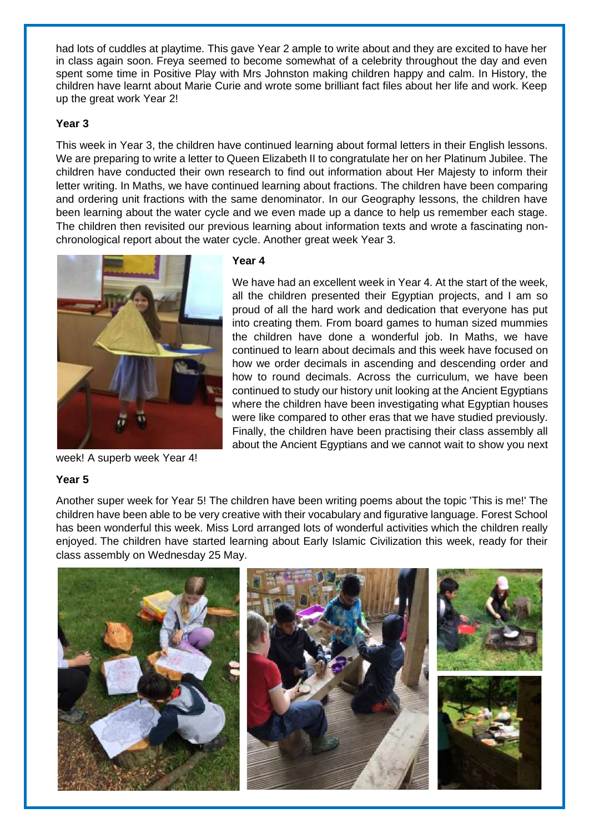had lots of cuddles at playtime. This gave Year 2 ample to write about and they are excited to have her in class again soon. Freya seemed to become somewhat of a celebrity throughout the day and even spent some time in Positive Play with Mrs Johnston making children happy and calm. In History, the children have learnt about Marie Curie and wrote some brilliant fact files about her life and work. Keep up the great work Year 2!

#### **Year 3**

This week in Year 3, the children have continued learning about formal letters in their English lessons. We are preparing to write a letter to Queen Elizabeth II to congratulate her on her Platinum Jubilee. The children have conducted their own research to find out information about Her Majesty to inform their letter writing. In Maths, we have continued learning about fractions. The children have been comparing and ordering unit fractions with the same denominator. In our Geography lessons, the children have been learning about the water cycle and we even made up a dance to help us remember each stage. The children then revisited our previous learning about information texts and wrote a fascinating nonchronological report about the water cycle. Another great week Year 3.



week! A superb week Year 4!

#### **Year 5**

Another super week for Year 5! The children have been writing poems about the topic 'This is me!' The children have been able to be very creative with their vocabulary and figurative language. Forest School has been wonderful this week. Miss Lord arranged lots of wonderful activities which the children really enjoyed. The children have started learning about Early Islamic Civilization this week, ready for their class assembly on Wednesday 25 May.



#### **Year 4**

We have had an excellent week in Year 4. At the start of the week, all the children presented their Egyptian projects, and I am so proud of all the hard work and dedication that everyone has put into creating them. From board games to human sized mummies the children have done a wonderful job. In Maths, we have continued to learn about decimals and this week have focused on how we order decimals in ascending and descending order and how to round decimals. Across the curriculum, we have been continued to study our history unit looking at the Ancient Egyptians where the children have been investigating what Egyptian houses were like compared to other eras that we have studied previously. Finally, the children have been practising their class assembly all about the Ancient Egyptians and we cannot wait to show you next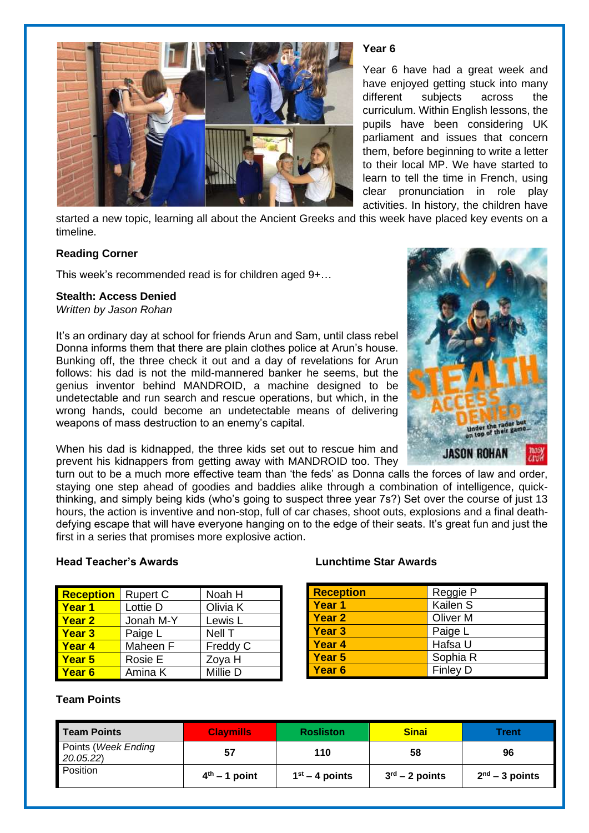

#### **Year 6**

Year 6 have had a great week and have enjoyed getting stuck into many different subjects across the curriculum. Within English lessons, the pupils have been considering UK parliament and issues that concern them, before beginning to write a letter to their local MP. We have started to learn to tell the time in French, using clear pronunciation in role play activities. In history, the children have

started a new topic, learning all about the Ancient Greeks and this week have placed key events on a timeline.

#### **Reading Corner**

This week's recommended read is for children aged 9+…

#### **Stealth: Access Denied**

*Written by Jason Rohan*

It's an ordinary day at school for friends Arun and Sam, until class rebel Donna informs them that there are plain clothes police at Arun's house. Bunking off, the three check it out and a day of revelations for Arun follows: his dad is not the mild-mannered banker he seems, but the genius inventor behind MANDROID, a machine designed to be undetectable and run search and rescue operations, but which, in the wrong hands, could become an undetectable means of delivering weapons of mass destruction to an enemy's capital.



When his dad is kidnapped, the three kids set out to rescue him and prevent his kidnappers from getting away with MANDROID too. They

turn out to be a much more effective team than 'the feds' as Donna calls the forces of law and order, staying one step ahead of goodies and baddies alike through a combination of intelligence, quickthinking, and simply being kids (who's going to suspect three year 7s?) Set over the course of just 13 hours, the action is inventive and non-stop, full of car chases, shoot outs, explosions and a final deathdefying escape that will have everyone hanging on to the edge of their seats. It's great fun and just the first in a series that promises more explosive action.

#### **Head Teacher's Awards Lunchtime Star Awards**

| <b>Reception</b>  | <b>Rupert C</b> | Noah H   |
|-------------------|-----------------|----------|
| <b>Year 1</b>     | Lottie D        | Olivia K |
| <b>Year 2</b>     | Jonah M-Y       | Lewis L  |
| <b>Year 3</b>     | Paige L         | Nell T   |
| <b>Year 4</b>     | Maheen F        | Freddy C |
| Year 5            | Rosie E         | Zoya H   |
| Year <sub>6</sub> | Amina K         | Millie D |

#### **Team Points**

| <b>Reception</b> | Reggie P            |
|------------------|---------------------|
| Year 1           | Kailen S            |
| Year 2           | Oliver <sub>M</sub> |
| Year 3           | Paige L             |
| Year 4           | Hafsa U             |
| Year 5           | Sophia R            |
| Year 6           | <b>Finley D</b>     |

| Team Points                      | <b>Clavmills</b> | <b>Rosliston</b> | <b>Sinai</b>               | Trent            |
|----------------------------------|------------------|------------------|----------------------------|------------------|
| Points (Week Ending<br>20.05.22) | 57               | 110              | 58                         | 96               |
| Position                         | $4th - 1$ point  | $1st - 4$ points | $3^{\text{rd}}$ – 2 points | $2nd - 3$ points |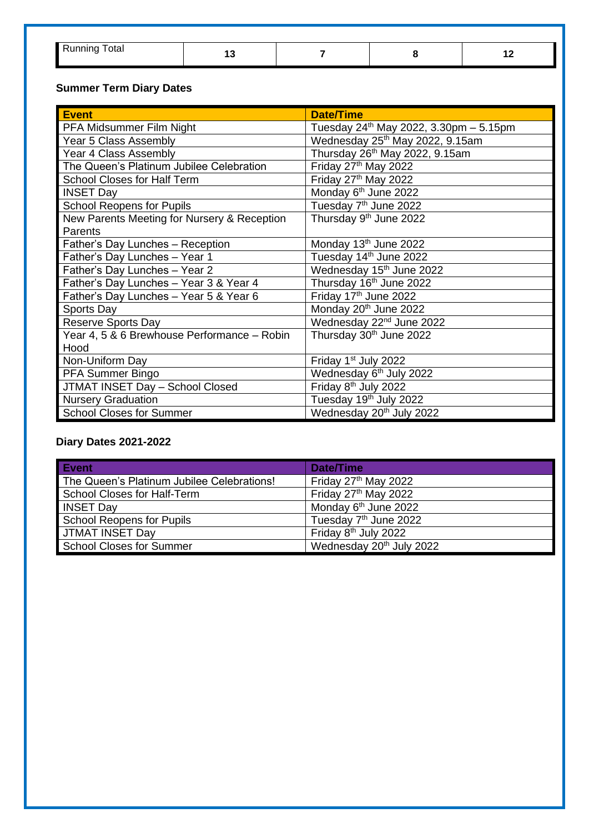| otal |  | -- |
|------|--|----|

## **Summer Term Diary Dates**

| <b>Event</b>                                | <b>Date/Time</b>                              |
|---------------------------------------------|-----------------------------------------------|
| PFA Midsummer Film Night                    | Tuesday $24^{th}$ May 2022, 3.30pm $-5.15$ pm |
| Year 5 Class Assembly                       | Wednesday 25 <sup>th</sup> May 2022, 9.15am   |
| Year 4 Class Assembly                       | Thursday 26 <sup>th</sup> May 2022, 9.15am    |
| The Queen's Platinum Jubilee Celebration    | Friday 27 <sup>th</sup> May 2022              |
| School Closes for Half Term                 | Friday 27 <sup>th</sup> May 2022              |
| <b>INSET Day</b>                            | Monday 6 <sup>th</sup> June 2022              |
| <b>School Reopens for Pupils</b>            | Tuesday 7 <sup>th</sup> June 2022             |
| New Parents Meeting for Nursery & Reception | Thursday 9 <sup>th</sup> June 2022            |
| Parents                                     |                                               |
| Father's Day Lunches - Reception            | Monday 13th June 2022                         |
| Father's Day Lunches - Year 1               | Tuesday 14 <sup>th</sup> June 2022            |
| Father's Day Lunches - Year 2               | Wednesday 15 <sup>th</sup> June 2022          |
| Father's Day Lunches - Year 3 & Year 4      | Thursday 16 <sup>th</sup> June 2022           |
| Father's Day Lunches - Year 5 & Year 6      | Friday 17th June 2022                         |
| Sports Day                                  | Monday 20 <sup>th</sup> June 2022             |
| <b>Reserve Sports Day</b>                   | Wednesday 22 <sup>nd</sup> June 2022          |
| Year 4, 5 & 6 Brewhouse Performance - Robin | Thursday 30 <sup>th</sup> June 2022           |
| Hood                                        |                                               |
| Non-Uniform Day                             | Friday 1 <sup>st</sup> July 2022              |
| PFA Summer Bingo                            | Wednesday 6 <sup>th</sup> July 2022           |
| JTMAT INSET Day - School Closed             | Friday 8 <sup>th</sup> July 2022              |
| <b>Nursery Graduation</b>                   | Tuesday 19 <sup>th</sup> July 2022            |
| <b>School Closes for Summer</b>             | Wednesday 20 <sup>th</sup> July 2022          |

### **Diary Dates 2021-2022**

| Event                                      | Date/Time                            |
|--------------------------------------------|--------------------------------------|
| The Queen's Platinum Jubilee Celebrations! | Friday 27 <sup>th</sup> May 2022     |
| School Closes for Half-Term                | Friday 27th May 2022                 |
| <b>INSET Day</b>                           | Monday 6 <sup>th</sup> June 2022     |
| School Reopens for Pupils                  | Tuesday 7 <sup>th</sup> June 2022    |
| <b>JTMAT INSET Day</b>                     | Friday 8 <sup>th</sup> July 2022     |
| School Closes for Summer                   | Wednesday 20 <sup>th</sup> July 2022 |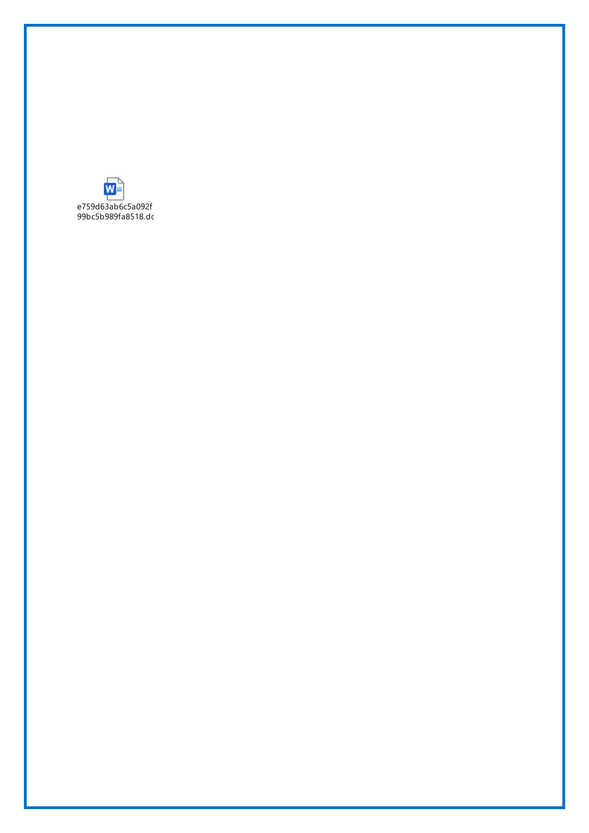